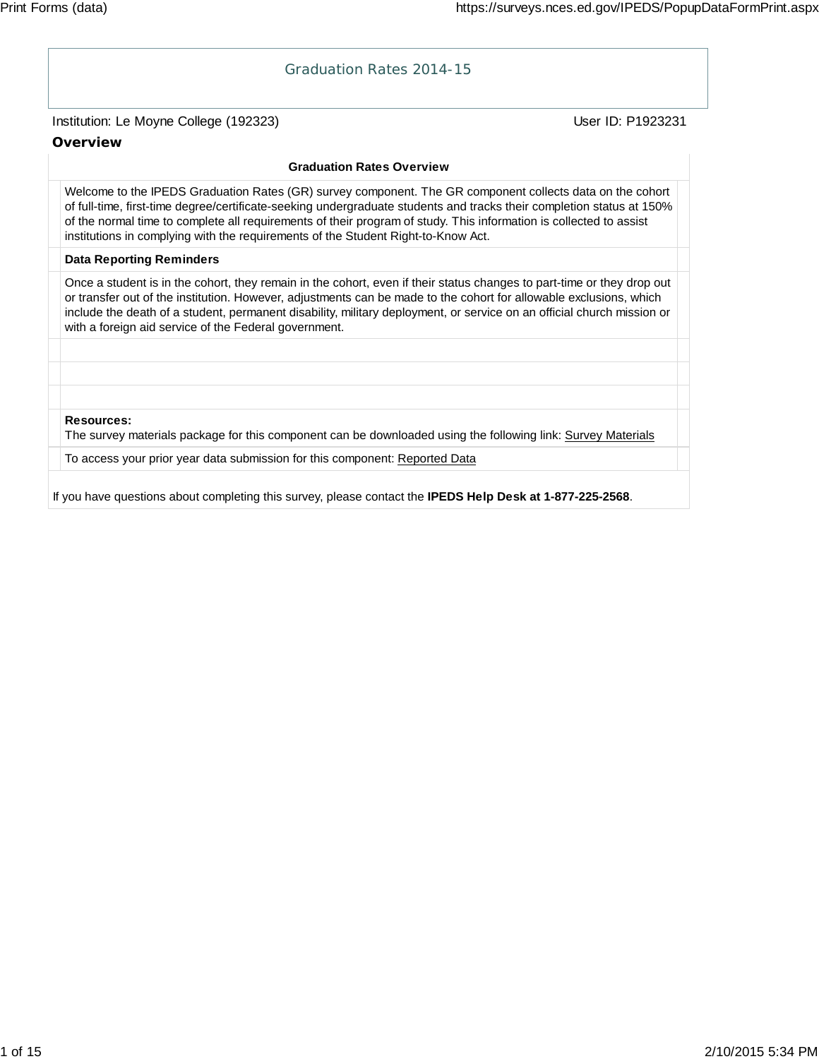## Graduation Rates 2014-15

## Institution: Le Moyne College (192323) **Department College (1923231** User ID: P1923231

## **Overview**

### **Graduation Rates Overview**

Welcome to the IPEDS Graduation Rates (GR) survey component. The GR component collects data on the cohort of full-time, first-time degree/certificate-seeking undergraduate students and tracks their completion status at 150% of the normal time to complete all requirements of their program of study. This information is collected to assist institutions in complying with the requirements of the Student Right-to-Know Act.

## **Data Reporting Reminders**

Once a student is in the cohort, they remain in the cohort, even if their status changes to part-time or they drop out or transfer out of the institution. However, adjustments can be made to the cohort for allowable exclusions, which include the death of a student, permanent disability, military deployment, or service on an official church mission or with a foreign aid service of the Federal government.

**Resources:**

The survey materials package for this component can be downloaded using the following link: Survey Materials

To access your prior year data submission for this component: Reported Data

If you have questions about completing this survey, please contact the **IPEDS Help Desk at 1-877-225-2568**.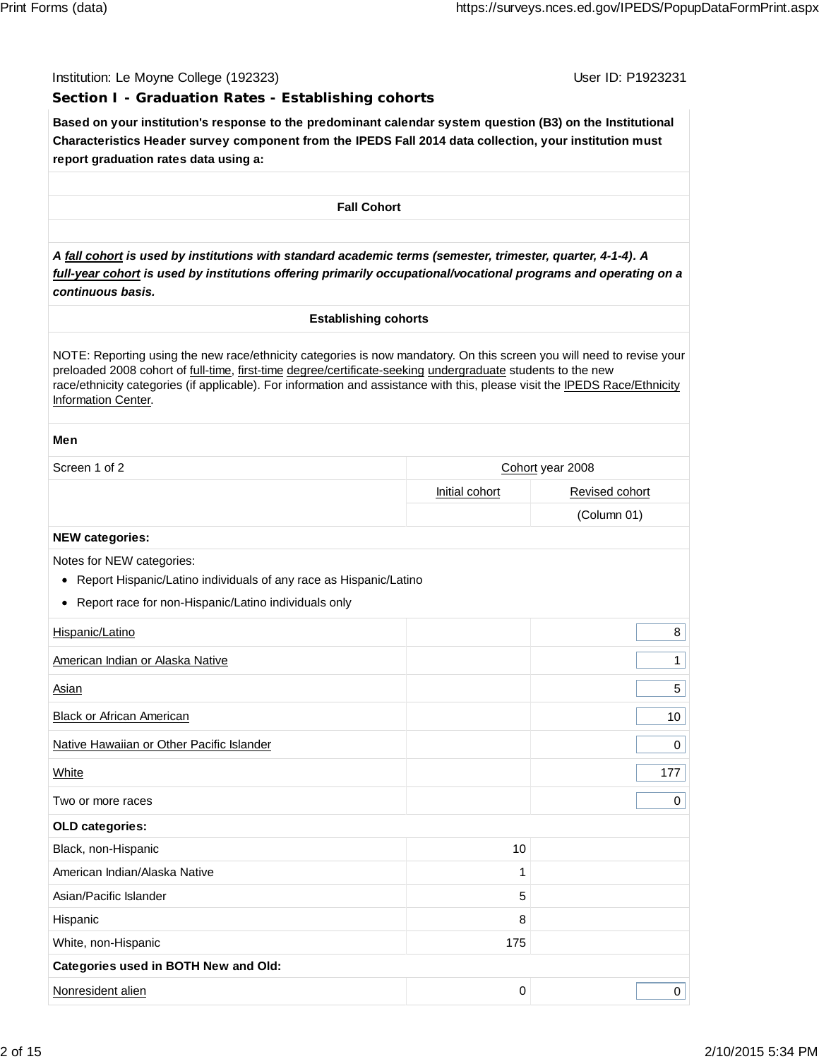## **Section I - Graduation Rates - Establishing cohorts**

**Based on your institution's response to the predominant calendar system question (B3) on the Institutional Characteristics Header survey component from the IPEDS Fall 2014 data collection, your institution must report graduation rates data using a:**

**Fall Cohort**

*A fall cohort is used by institutions with standard academic terms (semester, trimester, quarter, 4-1-4). A full-year cohort is used by institutions offering primarily occupational/vocational programs and operating on a continuous basis.*

## **Establishing cohorts**

NOTE: Reporting using the new race/ethnicity categories is now mandatory. On this screen you will need to revise your preloaded 2008 cohort of full-time, first-time degree/certificate-seeking undergraduate students to the new race/ethnicity categories (if applicable). For information and assistance with this, please visit the IPEDS Race/Ethnicity Information Center.

## **Men**

| Screen 1 of 2                                                                                       |                | Cohort year 2008 |
|-----------------------------------------------------------------------------------------------------|----------------|------------------|
|                                                                                                     | Initial cohort | Revised cohort   |
|                                                                                                     |                | (Column 01)      |
| <b>NEW categories:</b>                                                                              |                |                  |
| Notes for NEW categories:<br>Report Hispanic/Latino individuals of any race as Hispanic/Latino<br>٠ |                |                  |
| Report race for non-Hispanic/Latino individuals only<br>٠                                           |                |                  |
| Hispanic/Latino                                                                                     |                | 8                |
| American Indian or Alaska Native                                                                    |                | $\mathbf{1}$     |
| <b>Asian</b>                                                                                        |                | 5                |
| <b>Black or African American</b>                                                                    |                | 10               |
| Native Hawaiian or Other Pacific Islander                                                           |                | $\mathbf 0$      |
| White                                                                                               |                | 177              |
| Two or more races                                                                                   |                | 0                |
| OLD categories:                                                                                     |                |                  |
| Black, non-Hispanic                                                                                 | 10             |                  |
| American Indian/Alaska Native                                                                       | 1              |                  |
| Asian/Pacific Islander                                                                              | 5              |                  |
| Hispanic                                                                                            | 8              |                  |
| White, non-Hispanic                                                                                 | 175            |                  |
| Categories used in BOTH New and Old:                                                                |                |                  |
| Nonresident alien                                                                                   | $\mathbf 0$    | 0                |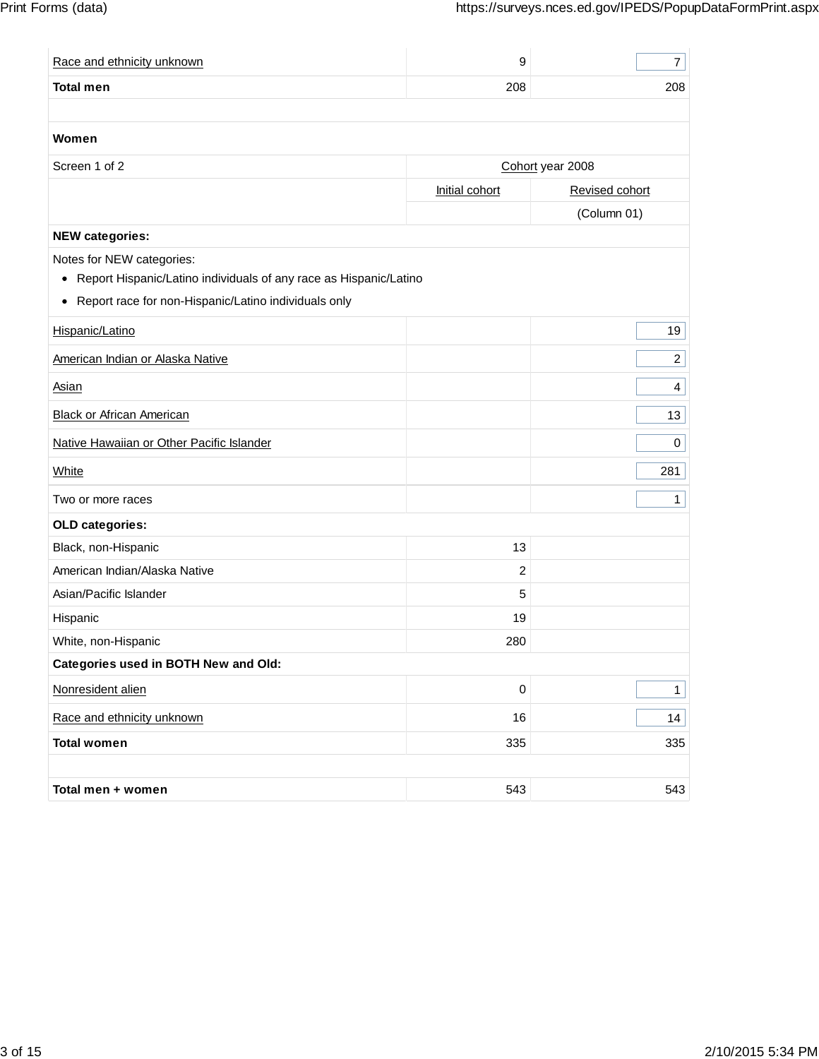| Race and ethnicity unknown                                             | 9                | $\overline{7}$   |
|------------------------------------------------------------------------|------------------|------------------|
| <b>Total men</b>                                                       | 208              | 208              |
|                                                                        |                  |                  |
| Women                                                                  |                  |                  |
| Screen 1 of 2                                                          |                  | Cohort year 2008 |
|                                                                        | Initial cohort   | Revised cohort   |
|                                                                        |                  | (Column 01)      |
| <b>NEW categories:</b>                                                 |                  |                  |
| Notes for NEW categories:                                              |                  |                  |
| Report Hispanic/Latino individuals of any race as Hispanic/Latino<br>٠ |                  |                  |
| Report race for non-Hispanic/Latino individuals only<br>٠              |                  |                  |
| Hispanic/Latino                                                        |                  | 19               |
| American Indian or Alaska Native                                       |                  | $\overline{2}$   |
| <b>Asian</b>                                                           |                  | 4                |
| <b>Black or African American</b>                                       |                  | 13               |
| Native Hawaiian or Other Pacific Islander                              |                  | 0                |
| White                                                                  |                  | 281              |
| Two or more races                                                      |                  | $\mathbf{1}$     |
| OLD categories:                                                        |                  |                  |
| Black, non-Hispanic                                                    | 13               |                  |
| American Indian/Alaska Native                                          | $\boldsymbol{2}$ |                  |
| Asian/Pacific Islander                                                 | 5                |                  |
| Hispanic                                                               | 19               |                  |
| White, non-Hispanic                                                    | 280              |                  |
| Categories used in BOTH New and Old:                                   |                  |                  |
| Nonresident alien                                                      | $\pmb{0}$        | 1                |
| Race and ethnicity unknown                                             | 16               | 14               |
| <b>Total women</b>                                                     | 335              | 335              |
|                                                                        |                  |                  |
| Total men + women                                                      | 543              | 543              |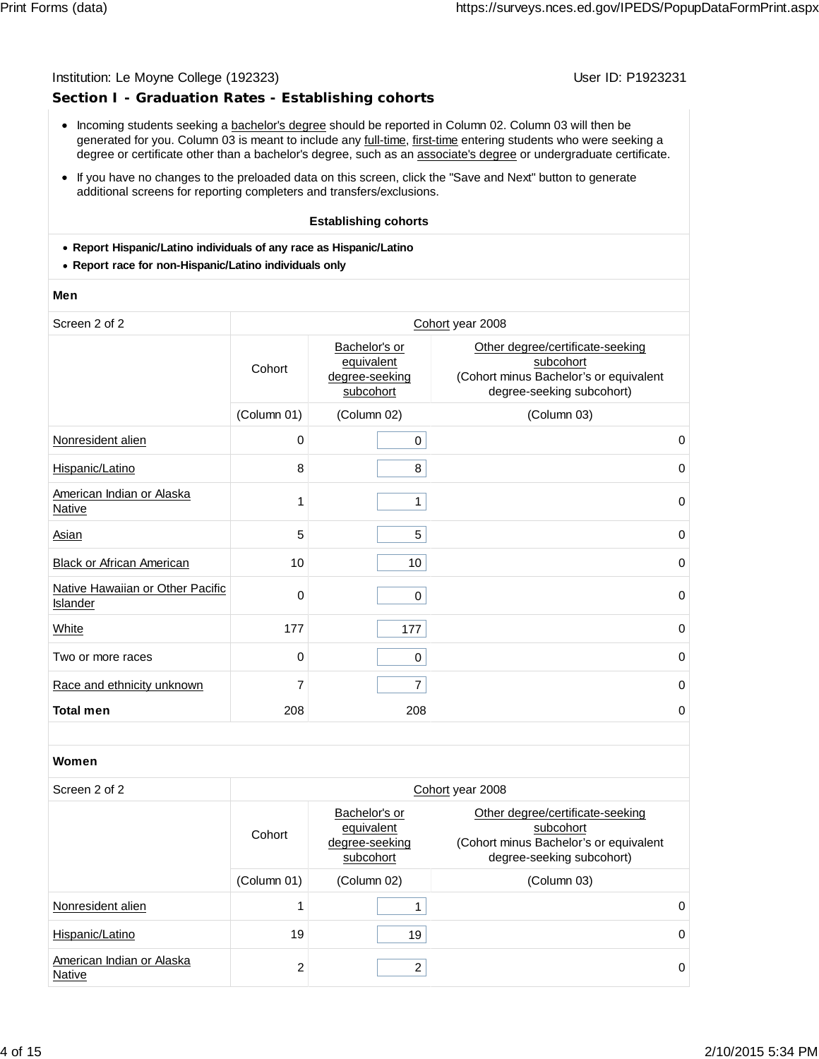## **Section I - Graduation Rates - Establishing cohorts**

- Incoming students seeking a bachelor's degree should be reported in Column 02. Column 03 will then be generated for you. Column 03 is meant to include any full-time, first-time entering students who were seeking a degree or certificate other than a bachelor's degree, such as an associate's degree or undergraduate certificate.
- If you have no changes to the preloaded data on this screen, click the "Save and Next" button to generate additional screens for reporting completers and transfers/exclusions.

### **Establishing cohorts**

- **Report Hispanic/Latino individuals of any race as Hispanic/Latino**
- **Report race for non-Hispanic/Latino individuals only**

### **Men**

| Screen 2 of 2                                |             |                                                            | Cohort year 2008                                                                                                     |
|----------------------------------------------|-------------|------------------------------------------------------------|----------------------------------------------------------------------------------------------------------------------|
|                                              | Cohort      | Bachelor's or<br>equivalent<br>degree-seeking<br>subcohort | Other degree/certificate-seeking<br>subcohort<br>(Cohort minus Bachelor's or equivalent<br>degree-seeking subcohort) |
|                                              | (Column 01) | (Column 02)                                                | (Column 03)                                                                                                          |
| Nonresident alien                            | 0           | 0                                                          | 0                                                                                                                    |
| Hispanic/Latino                              | 8           | 8                                                          | 0                                                                                                                    |
| American Indian or Alaska<br><b>Native</b>   | 1           | 1                                                          | 0                                                                                                                    |
| <b>Asian</b>                                 | 5           | 5                                                          | $\mathbf 0$                                                                                                          |
| <b>Black or African American</b>             | 10          | 10                                                         | 0                                                                                                                    |
| Native Hawaiian or Other Pacific<br>Islander | 0           | 0                                                          | $\mathbf 0$                                                                                                          |
| White                                        | 177         | 177                                                        | 0                                                                                                                    |
| Two or more races                            | 0           | 0                                                          | 0                                                                                                                    |
| Race and ethnicity unknown                   | 7           | 7                                                          | 0                                                                                                                    |
| <b>Total men</b>                             | 208         | 208                                                        | 0                                                                                                                    |

### **Women**

| Screen 2 of 2                              | Cohort year 2008 |                                                            |                                                                                                                      |  |  |
|--------------------------------------------|------------------|------------------------------------------------------------|----------------------------------------------------------------------------------------------------------------------|--|--|
|                                            | Cohort           | Bachelor's or<br>equivalent<br>degree-seeking<br>subcohort | Other degree/certificate-seeking<br>subcohort<br>(Cohort minus Bachelor's or equivalent<br>degree-seeking subcohort) |  |  |
|                                            | (Column 01)      | (Column 02)                                                | (Column 03)                                                                                                          |  |  |
| Nonresident alien                          |                  |                                                            | 0                                                                                                                    |  |  |
| Hispanic/Latino                            | 19               | 19                                                         | 0                                                                                                                    |  |  |
| American Indian or Alaska<br><b>Native</b> | $\mathcal{P}$    | 2                                                          | 0                                                                                                                    |  |  |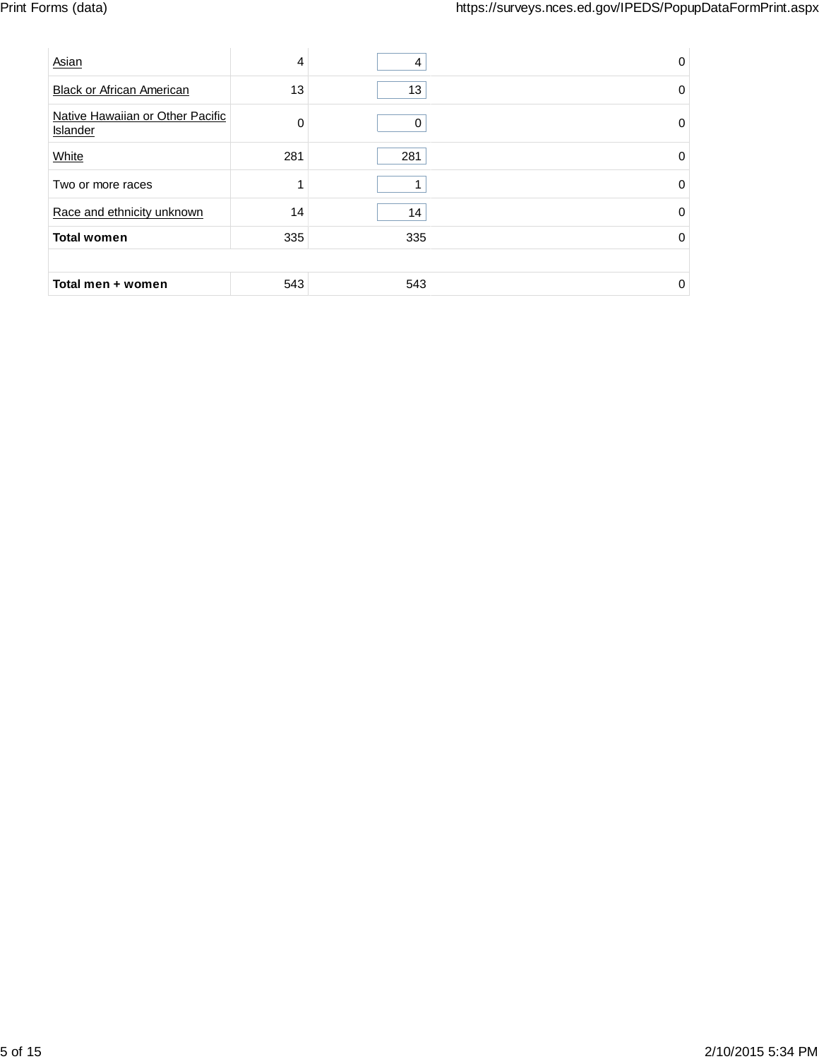| Asian                                        | 4   | 4   | 0        |
|----------------------------------------------|-----|-----|----------|
| <b>Black or African American</b>             | 13  | 13  | $\Omega$ |
| Native Hawaiian or Other Pacific<br>Islander | O   | 0   | $\Omega$ |
| White                                        | 281 | 281 | $\Omega$ |
| Two or more races                            |     |     | 0        |
| Race and ethnicity unknown                   | 14  | 14  | 0        |
| <b>Total women</b>                           | 335 | 335 | 0        |
|                                              |     |     |          |
| Total men + women                            | 543 | 543 | 0        |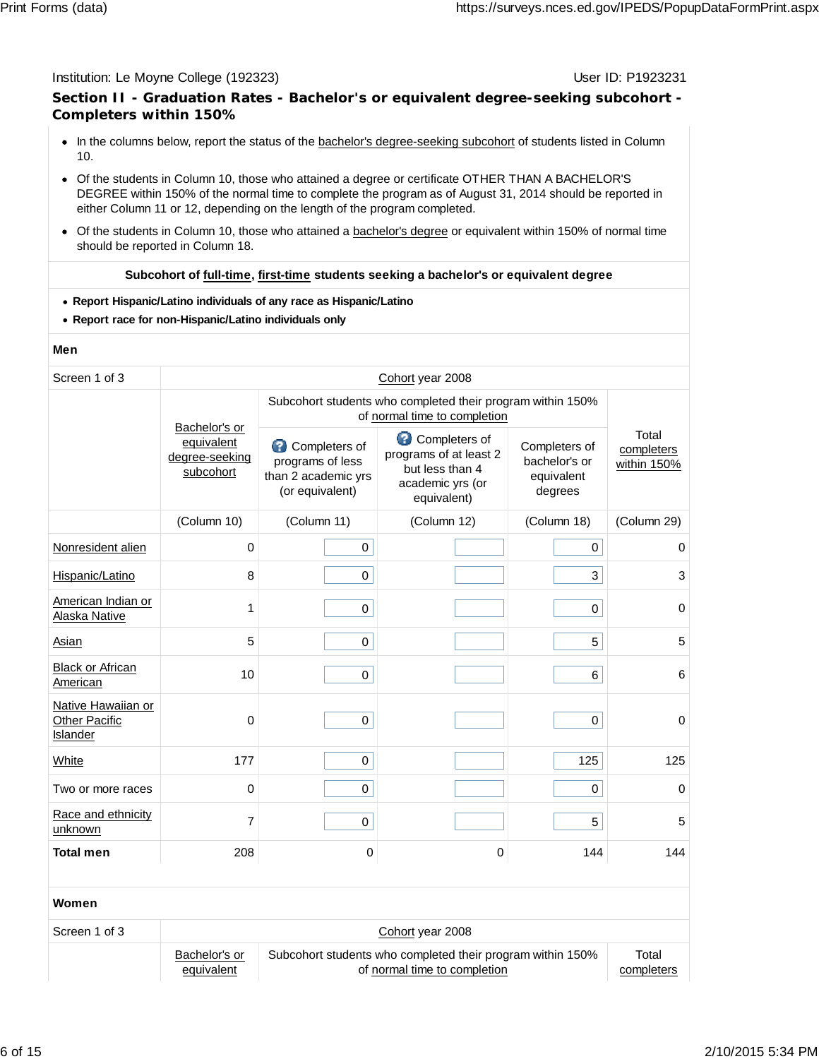## **Section II - Graduation Rates - Bachelor's or equivalent degree-seeking subcohort - Completers within 150%**

- In the columns below, report the status of the bachelor's degree-seeking subcohort of students listed in Column 10.
- Of the students in Column 10, those who attained a degree or certificate OTHER THAN A BACHELOR'S DEGREE within 150% of the normal time to complete the program as of August 31, 2014 should be reported in either Column 11 or 12, depending on the length of the program completed.
- Of the students in Column 10, those who attained a bachelor's degree or equivalent within 150% of normal time should be reported in Column 18.

## **Subcohort of full-time, first-time students seeking a bachelor's or equivalent degree**

- **Report Hispanic/Latino individuals of any race as Hispanic/Latino**
- **Report race for non-Hispanic/Latino individuals only**

### **Men**

| Screen 1 of 3                                          | Cohort year 2008                                                                           |                                                                             |                                                                                                    |                                                         |                                    |  |
|--------------------------------------------------------|--------------------------------------------------------------------------------------------|-----------------------------------------------------------------------------|----------------------------------------------------------------------------------------------------|---------------------------------------------------------|------------------------------------|--|
|                                                        | Subcohort students who completed their program within 150%<br>of normal time to completion |                                                                             |                                                                                                    |                                                         |                                    |  |
|                                                        | Bachelor's or<br>equivalent<br>degree-seeking<br>subcohort                                 | Completers of<br>programs of less<br>than 2 academic yrs<br>(or equivalent) | €<br>Completers of<br>programs of at least 2<br>but less than 4<br>academic yrs (or<br>equivalent) | Completers of<br>bachelor's or<br>equivalent<br>degrees | Total<br>completers<br>within 150% |  |
|                                                        | (Column 10)                                                                                | (Column 11)                                                                 | (Column 12)                                                                                        | (Column 18)                                             | (Column 29)                        |  |
| Nonresident alien                                      | $\mathbf 0$                                                                                | $\mathbf 0$                                                                 |                                                                                                    | $\mathbf 0$                                             | 0                                  |  |
| Hispanic/Latino                                        | 8                                                                                          | 0                                                                           |                                                                                                    | 3                                                       | 3                                  |  |
| American Indian or<br>Alaska Native                    | 1                                                                                          | 0                                                                           |                                                                                                    | 0                                                       | $\mathbf 0$                        |  |
| Asian                                                  | 5                                                                                          | 0                                                                           |                                                                                                    | 5                                                       | 5                                  |  |
| <b>Black or African</b><br>American                    | 10                                                                                         | 0                                                                           |                                                                                                    | 6                                                       | 6                                  |  |
| Native Hawaiian or<br><b>Other Pacific</b><br>Islander | 0                                                                                          | 0                                                                           |                                                                                                    | 0                                                       | $\mathbf 0$                        |  |
| White                                                  | 177                                                                                        | 0                                                                           |                                                                                                    | 125                                                     | 125                                |  |
| Two or more races                                      | 0                                                                                          | 0                                                                           |                                                                                                    | $\mathbf 0$                                             | $\Omega$                           |  |
| Race and ethnicity<br>unknown                          | 7                                                                                          | 0                                                                           |                                                                                                    | 5                                                       | 5                                  |  |
| <b>Total men</b>                                       | 208                                                                                        | $\Omega$                                                                    | 0                                                                                                  | 144                                                     | 144                                |  |
|                                                        |                                                                                            |                                                                             |                                                                                                    |                                                         |                                    |  |
| Women                                                  |                                                                                            |                                                                             |                                                                                                    |                                                         |                                    |  |

| Screen 1 of 3 | Cohort year 2008 |                                                            |            |  |  |
|---------------|------------------|------------------------------------------------------------|------------|--|--|
|               | Bachelor's or    | Subcohort students who completed their program within 150% | Total      |  |  |
|               | equivalent       | of normal time to completion                               | completers |  |  |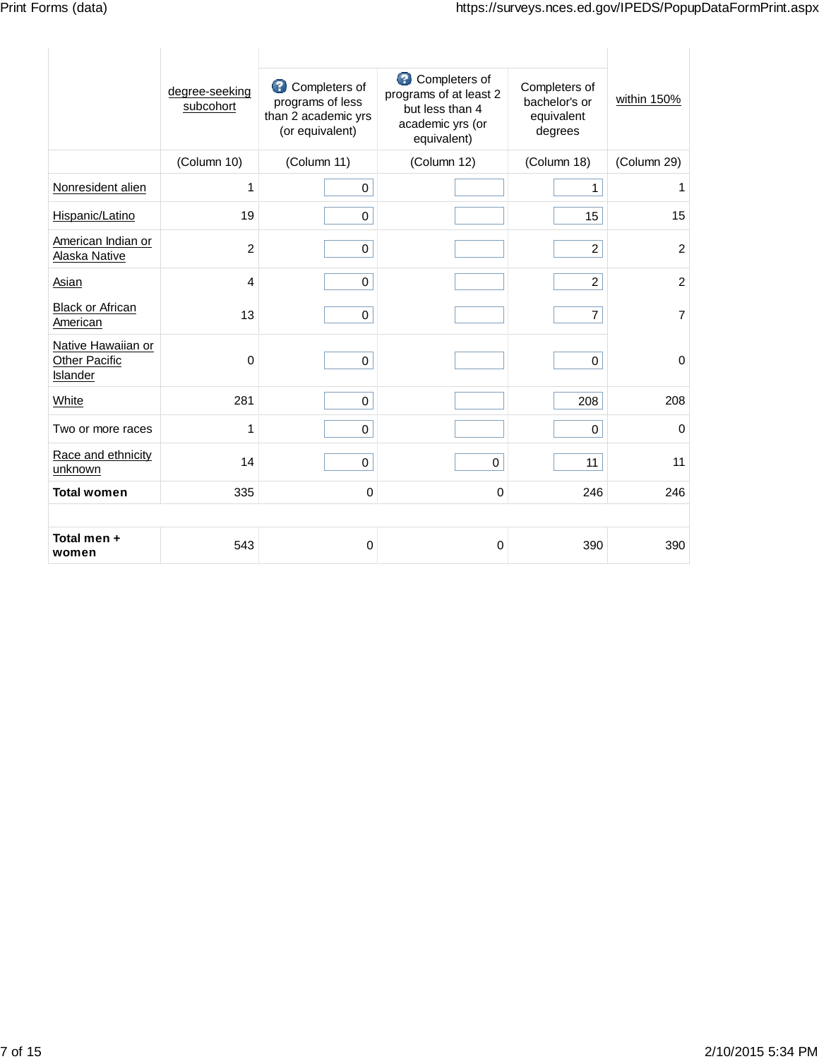|                                                        | degree-seeking<br>subcohort | ๏<br>Completers of<br>programs of less<br>than 2 academic yrs<br>(or equivalent) | Completers of<br>programs of at least 2<br>but less than 4<br>academic yrs (or<br>equivalent) | Completers of<br>bachelor's or<br>equivalent<br>degrees | within 150%    |
|--------------------------------------------------------|-----------------------------|----------------------------------------------------------------------------------|-----------------------------------------------------------------------------------------------|---------------------------------------------------------|----------------|
|                                                        | (Column 10)                 | (Column 11)                                                                      | (Column 12)                                                                                   | (Column 18)                                             | (Column 29)    |
| Nonresident alien                                      | 1                           | $\mathbf 0$                                                                      |                                                                                               | 1                                                       | 1              |
| Hispanic/Latino                                        | 19                          | $\mathbf 0$                                                                      |                                                                                               | 15                                                      | 15             |
| American Indian or<br>Alaska Native                    | $\overline{2}$              | $\mathbf 0$                                                                      |                                                                                               | $\overline{2}$                                          | $\overline{2}$ |
| <b>Asian</b>                                           | $\overline{4}$              | $\mathbf 0$                                                                      |                                                                                               | $\overline{2}$                                          | $\overline{2}$ |
| <b>Black or African</b><br>American                    | 13                          | $\mathbf 0$                                                                      |                                                                                               | $\overline{7}$                                          | $\overline{7}$ |
| Native Hawaiian or<br><b>Other Pacific</b><br>Islander | 0                           | $\mathbf 0$                                                                      |                                                                                               | $\mathbf 0$                                             | $\pmb{0}$      |
| White                                                  | 281                         | $\mathbf 0$                                                                      |                                                                                               | 208                                                     | 208            |
| Two or more races                                      | 1                           | $\mathbf 0$                                                                      |                                                                                               | 0                                                       | $\pmb{0}$      |
| Race and ethnicity<br>unknown                          | 14                          | $\mathbf 0$                                                                      | 0                                                                                             | 11                                                      | 11             |
| <b>Total women</b>                                     | 335                         | 0                                                                                | 0                                                                                             | 246                                                     | 246            |
|                                                        |                             |                                                                                  |                                                                                               |                                                         |                |
| Total men +<br>women                                   | 543                         | 0                                                                                | 0                                                                                             | 390                                                     | 390            |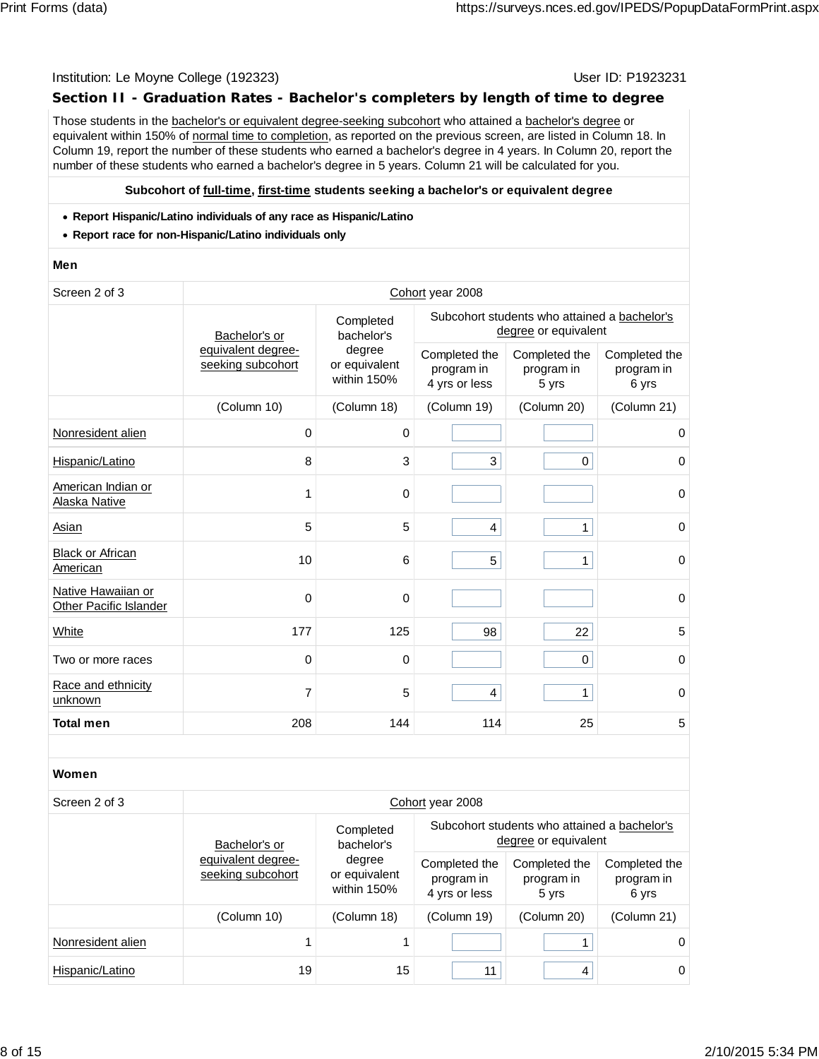## **Section II - Graduation Rates - Bachelor's completers by length of time to degree**

Those students in the bachelor's or equivalent degree-seeking subcohort who attained a bachelor's degree or equivalent within 150% of normal time to completion, as reported on the previous screen, are listed in Column 18. In Column 19, report the number of these students who earned a bachelor's degree in 4 years. In Column 20, report the number of these students who earned a bachelor's degree in 5 years. Column 21 will be calculated for you.

### **Subcohort of full-time, first-time students seeking a bachelor's or equivalent degree**

- **Report Hispanic/Latino individuals of any race as Hispanic/Latino**
- **Report race for non-Hispanic/Latino individuals only**

### **Men**

| Screen 2 of 3 | Cohort year 2008 |
|---------------|------------------|
|---------------|------------------|

|                                              |                                         |                                        | OUTION YOUR LOOD                                                     |                                      |                                      |  |
|----------------------------------------------|-----------------------------------------|----------------------------------------|----------------------------------------------------------------------|--------------------------------------|--------------------------------------|--|
|                                              | Bachelor's or                           | Completed<br>bachelor's                | Subcohort students who attained a bachelor's<br>degree or equivalent |                                      |                                      |  |
|                                              | equivalent degree-<br>seeking subcohort | degree<br>or equivalent<br>within 150% | Completed the<br>program in<br>4 yrs or less                         | Completed the<br>program in<br>5 yrs | Completed the<br>program in<br>6 yrs |  |
|                                              | (Column 10)                             | (Column 18)                            | (Column 19)                                                          | (Column 20)                          | (Column 21)                          |  |
| Nonresident alien                            | 0                                       | 0                                      |                                                                      |                                      | 0                                    |  |
| Hispanic/Latino                              | 8                                       | 3                                      | 3                                                                    | 0                                    | 0                                    |  |
| American Indian or<br>Alaska Native          |                                         | $\mathbf 0$                            |                                                                      |                                      | $\mathbf 0$                          |  |
| Asian                                        | 5                                       | 5                                      | 4                                                                    | 1                                    | $\mathbf 0$                          |  |
| <b>Black or African</b><br>American          | 10                                      | 6                                      | 5                                                                    | 1                                    | $\mathbf 0$                          |  |
| Native Hawaiian or<br>Other Pacific Islander | $\Omega$                                | 0                                      |                                                                      |                                      | $\mathbf 0$                          |  |
| White                                        | 177                                     | 125                                    | 98                                                                   | 22                                   | $\sqrt{5}$                           |  |
| Two or more races                            | 0                                       | $\mathbf 0$                            |                                                                      | 0                                    | $\mathbf 0$                          |  |
| Race and ethnicity<br>unknown                | 7                                       | 5                                      | $\overline{4}$                                                       | 1                                    | $\mathbf 0$                          |  |
| <b>Total men</b>                             | 208                                     | 144                                    | 114                                                                  | 25                                   | 5                                    |  |

### **Women**

### Screen 2 of 3 Cohort year 2008

|                   | Bachelor's or                           | Completed<br>bachelor's                | Subcohort students who attained a bachelor's<br>degree or equivalent |                                      |                                      |  |
|-------------------|-----------------------------------------|----------------------------------------|----------------------------------------------------------------------|--------------------------------------|--------------------------------------|--|
|                   | equivalent degree-<br>seeking subcohort | degree<br>or equivalent<br>within 150% | Completed the<br>program in<br>4 yrs or less                         | Completed the<br>program in<br>5 yrs | Completed the<br>program in<br>6 yrs |  |
|                   | (Column 10)                             | (Column 18)                            | (Column 19)                                                          | (Column 20)                          | (Column 21)                          |  |
| Nonresident alien |                                         |                                        |                                                                      |                                      | 0                                    |  |
| Hispanic/Latino   | 19                                      | 15                                     | 11                                                                   | 4                                    | $\Omega$                             |  |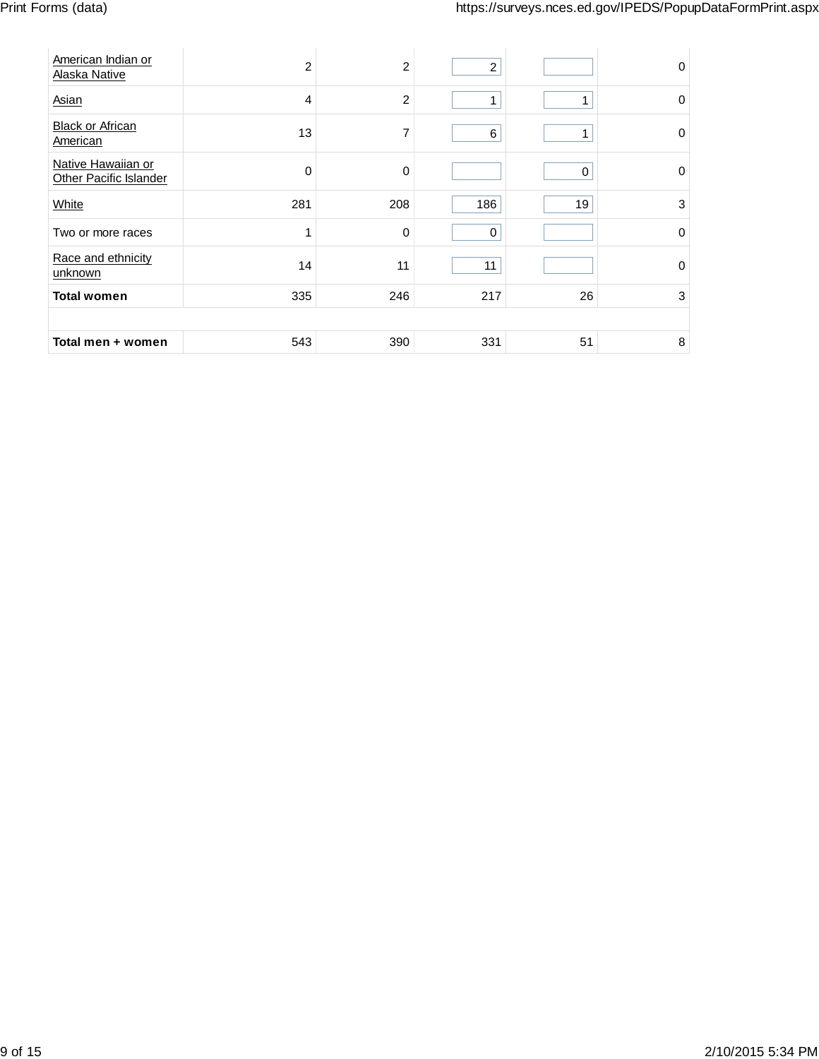| American Indian or<br>Alaska Native          | $\overline{c}$ | 2              | $\overline{2}$ |          | $\Omega$    |
|----------------------------------------------|----------------|----------------|----------------|----------|-------------|
| Asian                                        | 4              | $\overline{c}$ | 1              |          | $\Omega$    |
| <b>Black or African</b><br>American          | 13             | 7              | 6              |          | 0           |
| Native Hawaiian or<br>Other Pacific Islander | $\Omega$       | 0              |                | $\Omega$ | $\Omega$    |
| White                                        | 281            | 208            | 186            | 19       | 3           |
| Two or more races                            |                | 0              | 0              |          | $\mathbf 0$ |
| Race and ethnicity<br>unknown                | 14             | 11             | 11             |          | 0           |
| <b>Total women</b>                           | 335            | 246            | 217            | 26       | 3           |
|                                              |                |                |                |          |             |
| Total men + women                            | 543            | 390            | 331            | 51       | 8           |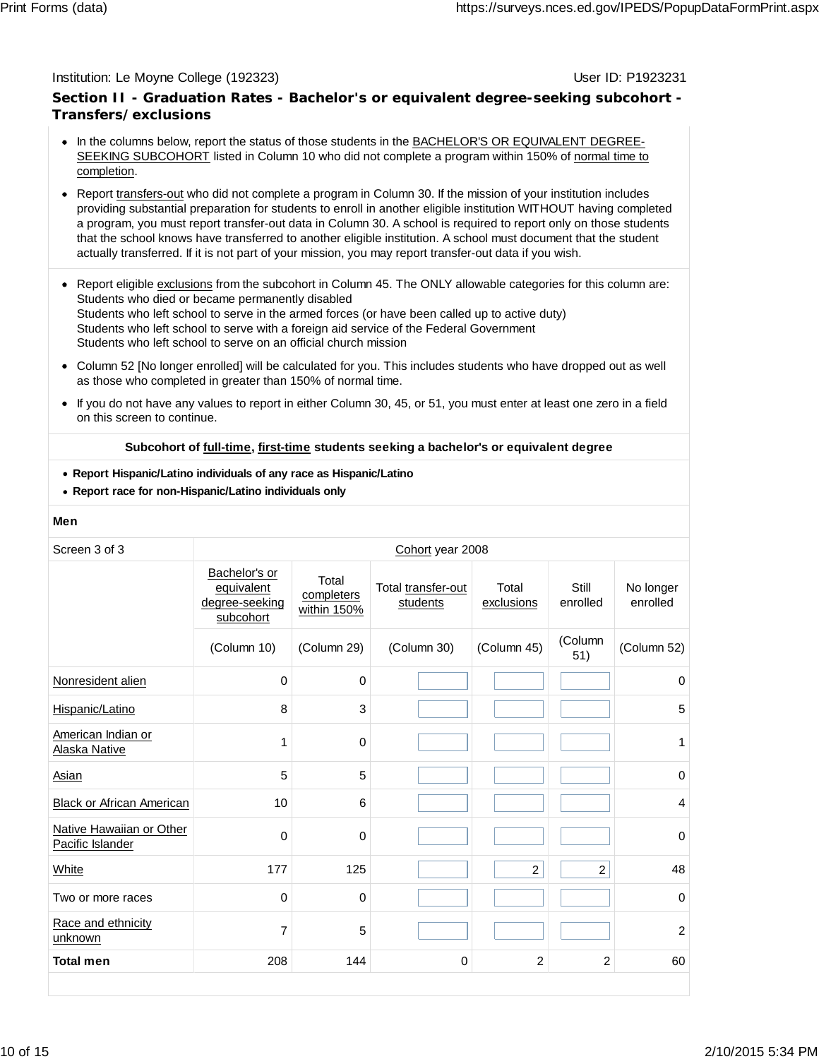## **Section II - Graduation Rates - Bachelor's or equivalent degree-seeking subcohort - Transfers/exclusions**

- In the columns below, report the status of those students in the BACHELOR'S OR EQUIVALENT DEGREE-SEEKING SUBCOHORT listed in Column 10 who did not complete a program within 150% of normal time to completion.
- Report transfers-out who did not complete a program in Column 30. If the mission of your institution includes providing substantial preparation for students to enroll in another eligible institution WITHOUT having completed a program, you must report transfer-out data in Column 30. A school is required to report only on those students that the school knows have transferred to another eligible institution. A school must document that the student actually transferred. If it is not part of your mission, you may report transfer-out data if you wish.
- Report eligible exclusions from the subcohort in Column 45. The ONLY allowable categories for this column are: Students who died or became permanently disabled Students who left school to serve in the armed forces (or have been called up to active duty) Students who left school to serve with a foreign aid service of the Federal Government Students who left school to serve on an official church mission
- Column 52 [No longer enrolled] will be calculated for you. This includes students who have dropped out as well as those who completed in greater than 150% of normal time.
- If you do not have any values to report in either Column 30, 45, or 51, you must enter at least one zero in a field on this screen to continue.

## **Subcohort of full-time, first-time students seeking a bachelor's or equivalent degree**

- **Report Hispanic/Latino individuals of any race as Hispanic/Latino**
- **Report race for non-Hispanic/Latino individuals only**

### **Men**

| Screen 3 of 3                                | Cohort year 2008                                           |                                    |                                |                     |                   |                       |
|----------------------------------------------|------------------------------------------------------------|------------------------------------|--------------------------------|---------------------|-------------------|-----------------------|
|                                              | Bachelor's or<br>equivalent<br>degree-seeking<br>subcohort | Total<br>completers<br>within 150% | Total transfer-out<br>students | Total<br>exclusions | Still<br>enrolled | No longer<br>enrolled |
|                                              | (Column 10)                                                | (Column 29)                        | (Column 30)                    | (Column 45)         | (Column<br>51)    | (Column 52)           |
| Nonresident alien                            | $\Omega$                                                   | 0                                  |                                |                     |                   | 0                     |
| Hispanic/Latino                              | 8                                                          | 3                                  |                                |                     |                   | 5                     |
| American Indian or<br>Alaska Native          | 1                                                          | 0                                  |                                |                     |                   | 1                     |
| <b>Asian</b>                                 | 5                                                          | 5                                  |                                |                     |                   | $\mathbf 0$           |
| <b>Black or African American</b>             | 10                                                         | 6                                  |                                |                     |                   | $\overline{4}$        |
| Native Hawaiian or Other<br>Pacific Islander | $\Omega$                                                   | 0                                  |                                |                     |                   | $\mathbf 0$           |
| White                                        | 177                                                        | 125                                |                                | $\overline{c}$      | $\overline{c}$    | 48                    |
| Two or more races                            | 0                                                          | 0                                  |                                |                     |                   | $\mathbf 0$           |
| Race and ethnicity<br>unknown                | 7                                                          | 5                                  |                                |                     |                   | $\overline{c}$        |
| <b>Total men</b>                             | 208                                                        | 144                                | 0                              | $\overline{2}$      | $\overline{2}$    | 60                    |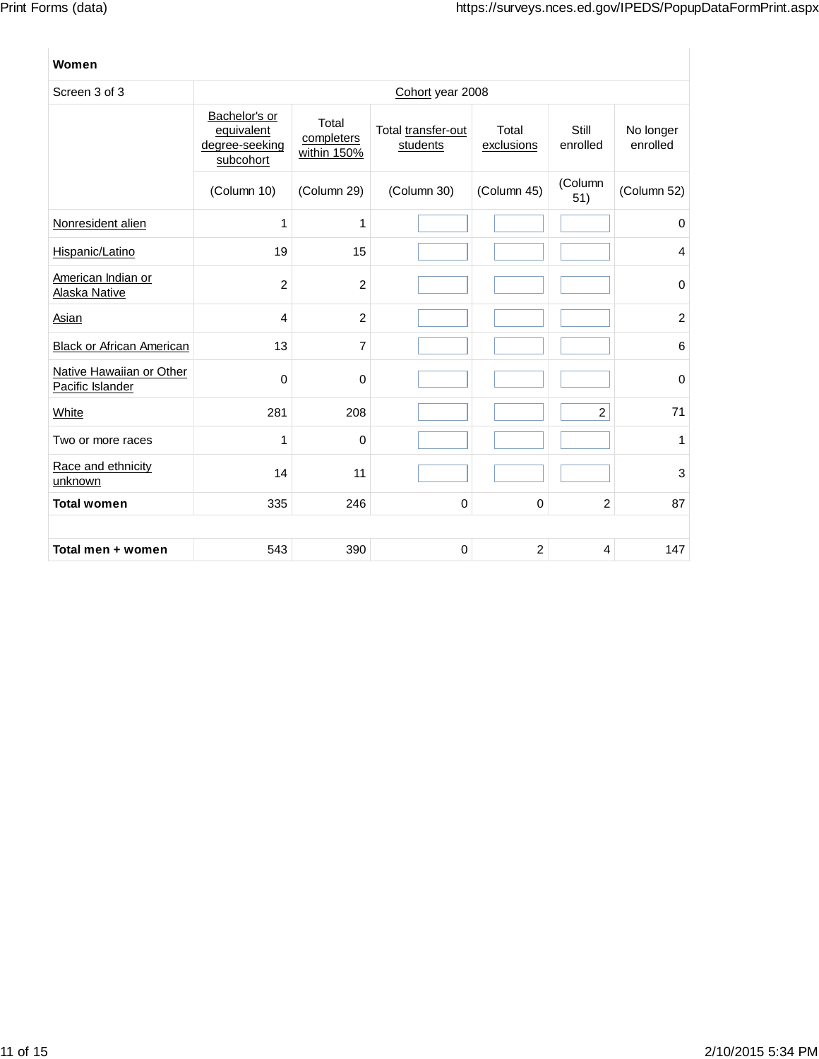## **Women**

| Screen 3 of 3                                | Cohort year 2008                                           |                                    |                                |                     |                   |                       |
|----------------------------------------------|------------------------------------------------------------|------------------------------------|--------------------------------|---------------------|-------------------|-----------------------|
|                                              | Bachelor's or<br>equivalent<br>degree-seeking<br>subcohort | Total<br>completers<br>within 150% | Total transfer-out<br>students | Total<br>exclusions | Still<br>enrolled | No longer<br>enrolled |
|                                              | (Column 10)                                                | (Column 29)                        | (Column 30)                    | (Column 45)         | (Column<br>51)    | (Column 52)           |
| Nonresident alien                            | 1                                                          | 1                                  |                                |                     |                   | 0                     |
| Hispanic/Latino                              | 19                                                         | 15                                 |                                |                     |                   | $\overline{4}$        |
| American Indian or<br>Alaska Native          | 2                                                          | $\overline{2}$                     |                                |                     |                   | $\mathbf 0$           |
| Asian                                        | 4                                                          | $\overline{2}$                     |                                |                     |                   | $\overline{c}$        |
| <b>Black or African American</b>             | 13                                                         | $\overline{7}$                     |                                |                     |                   | 6                     |
| Native Hawaiian or Other<br>Pacific Islander | 0                                                          | $\mathbf 0$                        |                                |                     |                   | 0                     |
| White                                        | 281                                                        | 208                                |                                |                     | $\overline{c}$    | 71                    |
| Two or more races                            | 1                                                          | $\mathbf 0$                        |                                |                     |                   | 1                     |
| Race and ethnicity<br>unknown                | 14                                                         | 11                                 |                                |                     |                   | 3                     |
| <b>Total women</b>                           | 335                                                        | 246                                | $\mathbf 0$                    | $\mathbf 0$         | $\overline{c}$    | 87                    |
|                                              |                                                            |                                    |                                |                     |                   |                       |
| Total men + women                            | 543                                                        | 390                                | 0                              | $\overline{c}$      | 4                 | 147                   |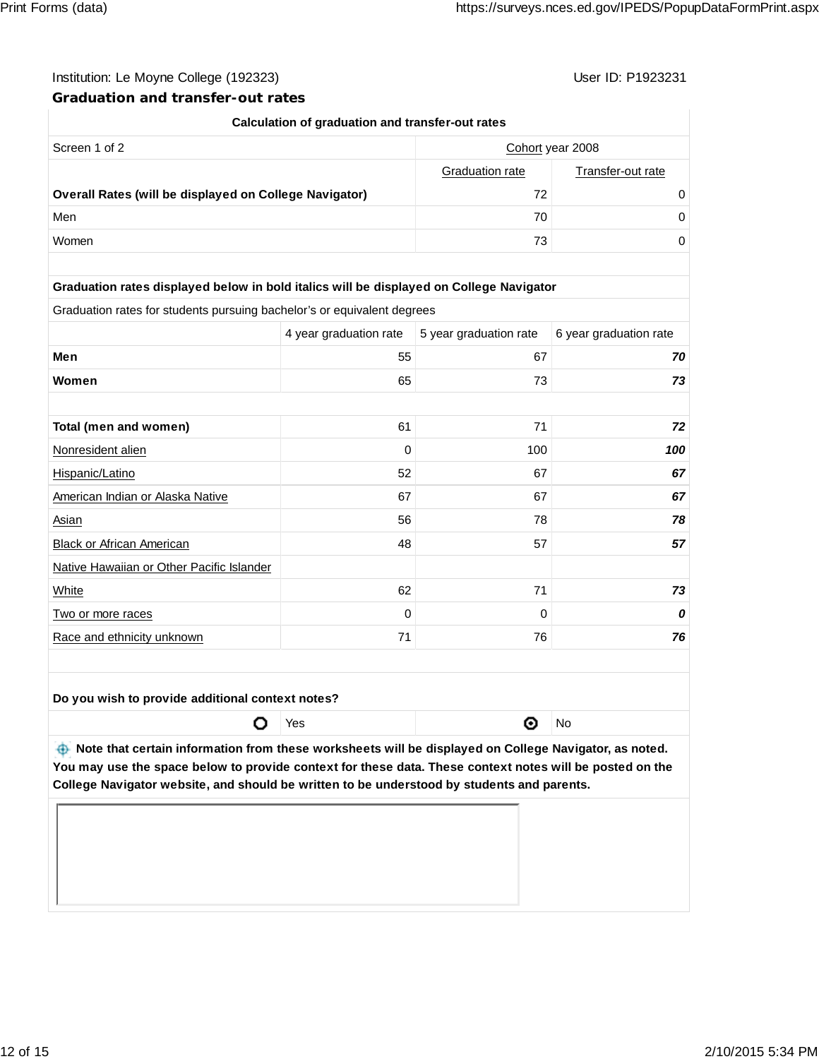**Graduation and transfer-out rates**

| Calculation of graduation and transfer-out rates                                        |                        |                        |                        |  |  |  |  |
|-----------------------------------------------------------------------------------------|------------------------|------------------------|------------------------|--|--|--|--|
| Screen 1 of 2                                                                           | Cohort year 2008       |                        |                        |  |  |  |  |
|                                                                                         |                        | Graduation rate        | Transfer-out rate      |  |  |  |  |
| 72<br><b>Overall Rates (will be displayed on College Navigator)</b>                     |                        |                        | 0                      |  |  |  |  |
| Men                                                                                     |                        | 70                     | 0                      |  |  |  |  |
| Women                                                                                   |                        | 73                     | $\Omega$               |  |  |  |  |
|                                                                                         |                        |                        |                        |  |  |  |  |
| Graduation rates displayed below in bold italics will be displayed on College Navigator |                        |                        |                        |  |  |  |  |
| Graduation rates for students pursuing bachelor's or equivalent degrees                 |                        |                        |                        |  |  |  |  |
|                                                                                         | 4 year graduation rate | 5 year graduation rate | 6 year graduation rate |  |  |  |  |
| Men                                                                                     | 55                     | 67                     | 70                     |  |  |  |  |
| Women                                                                                   | 65                     | 73                     | 73                     |  |  |  |  |
|                                                                                         |                        |                        |                        |  |  |  |  |
| Total (men and women)                                                                   | 61                     | 71                     | 72                     |  |  |  |  |
| Nonresident alien                                                                       | 0                      | 100                    | 100                    |  |  |  |  |
| Hispanic/Latino                                                                         | 52                     | 67                     | 67                     |  |  |  |  |
| American Indian or Alaska Native                                                        | 67                     | 67                     | 67                     |  |  |  |  |

| Hispanic/Latino                           | 52 | 67 | 67 |
|-------------------------------------------|----|----|----|
| American Indian or Alaska Native          | 67 | 67 | 67 |
| Asian                                     | 56 | 78 | 78 |
| Black or African American                 | 48 | 57 | 57 |
| Native Hawaiian or Other Pacific Islander |    |    |    |
| White                                     | 62 | 71 | 73 |
| Two or more races                         | 0  | 0  |    |
| Race and ethnicity unknown                | 71 | 76 | 76 |
|                                           |    |    |    |

**Do you wish to provide additional context notes?**

**O** Yes and the Monday of No

*A* **Note that certain information from these worksheets will be displayed on College Navigator, as noted. You may use the space below to provide context for these data. These context notes will be posted on the College Navigator website, and should be written to be understood by students and parents.**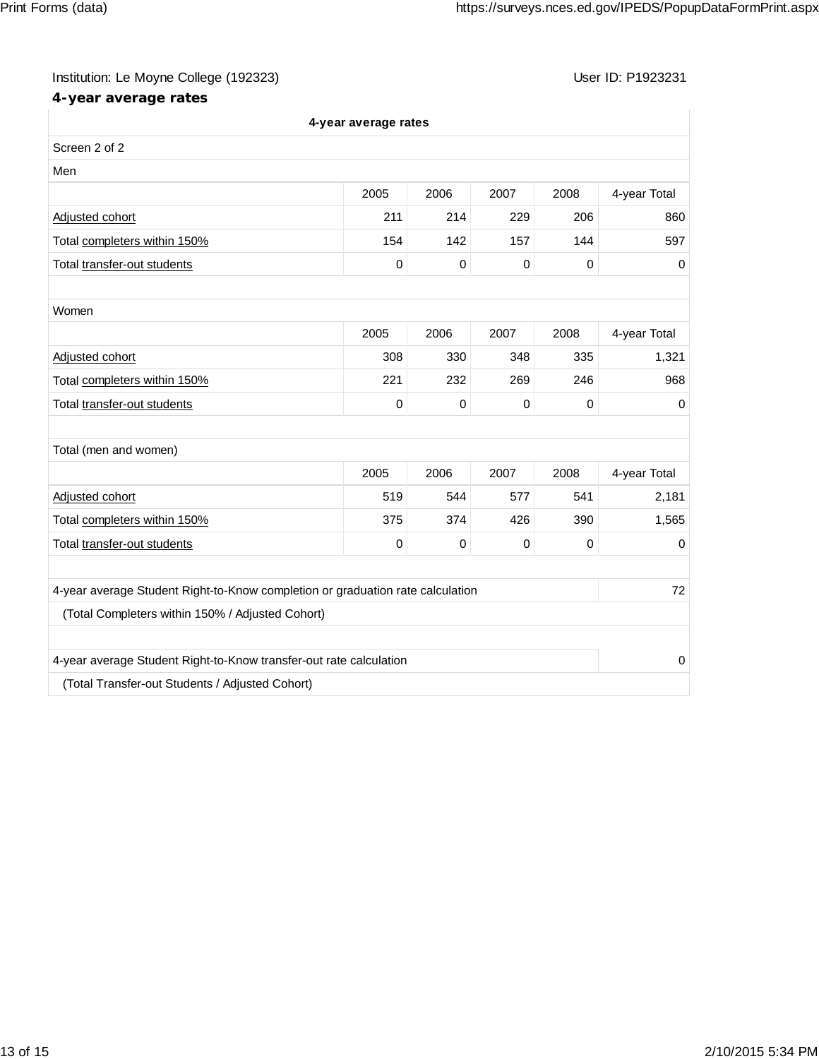# **4-year average rates**

|                                                                                | 4-year average rates |             |           |             |              |
|--------------------------------------------------------------------------------|----------------------|-------------|-----------|-------------|--------------|
| Screen 2 of 2                                                                  |                      |             |           |             |              |
| Men                                                                            |                      |             |           |             |              |
|                                                                                | 2005                 | 2006        | 2007      | 2008        | 4-year Total |
| Adjusted cohort                                                                | 211                  | 214         | 229       | 206         | 860          |
| Total completers within 150%                                                   | 154                  | 142         | 157       | 144         | 597          |
| Total transfer-out students                                                    | 0                    | $\mathbf 0$ | $\,0\,$   | 0           | 0            |
|                                                                                |                      |             |           |             |              |
| Women                                                                          |                      |             |           |             |              |
|                                                                                | 2005                 | 2006        | 2007      | 2008        | 4-year Total |
| Adjusted cohort                                                                | 308                  | 330         | 348       | 335         | 1,321        |
| Total completers within 150%                                                   | 221                  | 232         | 269       | 246         | 968          |
| Total transfer-out students                                                    | 0                    | $\mathbf 0$ | $\pmb{0}$ | $\mathbf 0$ | 0            |
|                                                                                |                      |             |           |             |              |
| Total (men and women)                                                          |                      |             |           |             |              |
|                                                                                | 2005                 | 2006        | 2007      | 2008        | 4-year Total |
| Adjusted cohort                                                                | 519                  | 544         | 577       | 541         | 2,181        |
| Total completers within 150%                                                   | 375                  | 374         | 426       | 390         | 1,565        |
| Total transfer-out students                                                    | 0                    | $\mathbf 0$ | 0         | $\mathbf 0$ | 0            |
|                                                                                |                      |             |           |             |              |
| 4-year average Student Right-to-Know completion or graduation rate calculation |                      |             |           |             | 72           |
| (Total Completers within 150% / Adjusted Cohort)                               |                      |             |           |             |              |
| 4-year average Student Right-to-Know transfer-out rate calculation             |                      |             |           |             | 0            |
| (Total Transfer-out Students / Adjusted Cohort)                                |                      |             |           |             |              |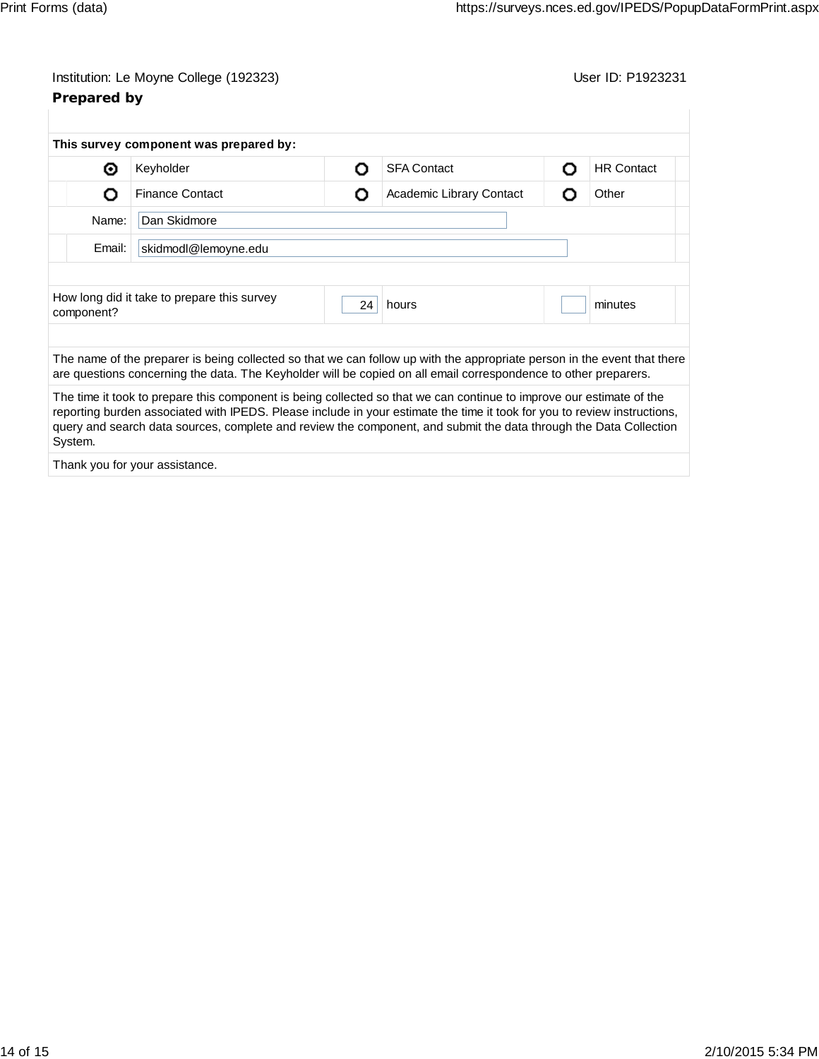| Prepared by | Institution: Le Moyne College (192323)      |    |                                                                                                                                                                                                                                             |  | User ID: P1923231 |
|-------------|---------------------------------------------|----|---------------------------------------------------------------------------------------------------------------------------------------------------------------------------------------------------------------------------------------------|--|-------------------|
|             | This survey component was prepared by:      |    |                                                                                                                                                                                                                                             |  |                   |
| ◉           | Keyholder                                   | Ω  | <b>SFA Contact</b>                                                                                                                                                                                                                          |  | <b>HR Contact</b> |
| О           | <b>Finance Contact</b>                      | O  | Academic Library Contact                                                                                                                                                                                                                    |  | Other             |
| Name:       | Dan Skidmore                                |    |                                                                                                                                                                                                                                             |  |                   |
| Email:      | skidmodl@lemoyne.edu                        |    |                                                                                                                                                                                                                                             |  |                   |
|             | How long did it take to prepare this survey |    |                                                                                                                                                                                                                                             |  |                   |
| component?  |                                             | 24 | hours                                                                                                                                                                                                                                       |  | minutes           |
|             |                                             |    | The name of the preparer is being collected so that we can follow up with the appropriate person in the event that there<br>are questions concerning the data. The Keyholder will be copied on all email correspondence to other preparers. |  |                   |

The time it took to prepare this component is being collected so that we can continue to improve our estimate of the reporting burden associated with IPEDS. Please include in your estimate the time it took for you to review instructions, query and search data sources, complete and review the component, and submit the data through the Data Collection System.

Thank you for your assistance.